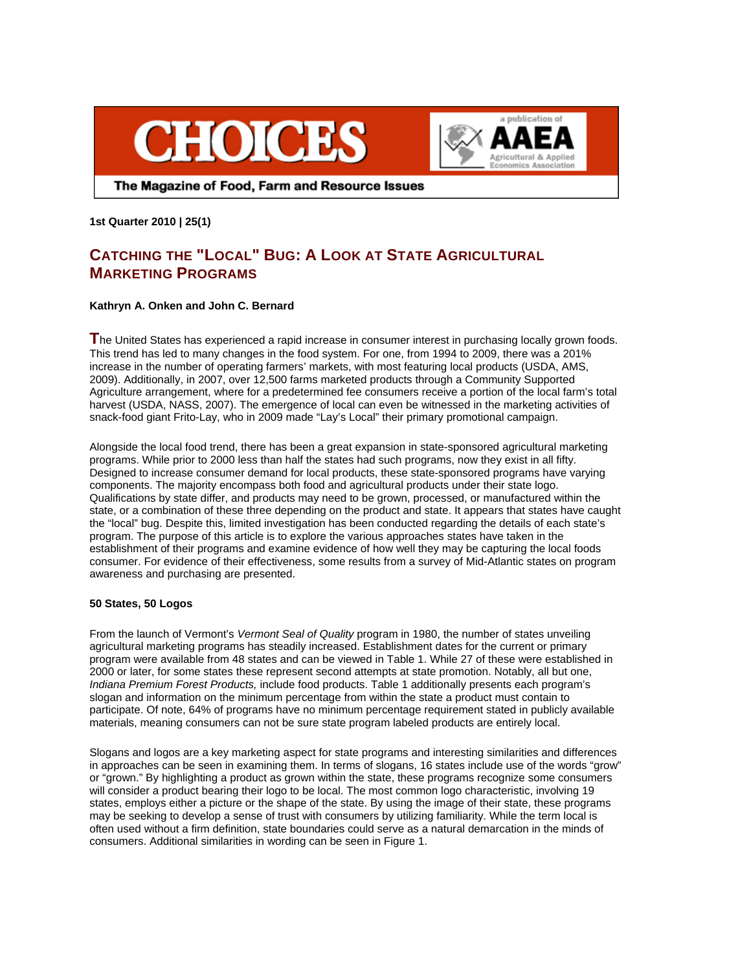



The Magazine of Food, Farm and Resource Issues

**1st Quarter 2010 | 25(1)** 

# **CATCHING THE "LOCAL" BUG: A LOOK AT STATE AGRICULTURAL MARKETING PROGRAMS**

# **Kathryn A. Onken and John C. Bernard**

**T**he United States has experienced a rapid increase in consumer interest in purchasing locally grown foods. This trend has led to many changes in the food system. For one, from 1994 to 2009, there was a 201% increase in the number of operating farmers' markets, with most featuring local products (USDA, AMS, 2009). Additionally, in 2007, over 12,500 farms marketed products through a Community Supported Agriculture arrangement, where for a predetermined fee consumers receive a portion of the local farm's total harvest (USDA, NASS, 2007). The emergence of local can even be witnessed in the marketing activities of snack-food giant Frito-Lay, who in 2009 made "Lay's Local" their primary promotional campaign.

Alongside the local food trend, there has been a great expansion in state-sponsored agricultural marketing programs. While prior to 2000 less than half the states had such programs, now they exist in all fifty. Designed to increase consumer demand for local products, these state-sponsored programs have varying components. The majority encompass both food and agricultural products under their state logo. Qualifications by state differ, and products may need to be grown, processed, or manufactured within the state, or a combination of these three depending on the product and state. It appears that states have caught the "local" bug. Despite this, limited investigation has been conducted regarding the details of each state's program. The purpose of this article is to explore the various approaches states have taken in the establishment of their programs and examine evidence of how well they may be capturing the local foods consumer. For evidence of their effectiveness, some results from a survey of Mid-Atlantic states on program awareness and purchasing are presented.

# **50 States, 50 Logos**

From the launch of Vermont's *Vermont Seal of Quality* program in 1980, the number of states unveiling agricultural marketing programs has steadily increased. Establishment dates for the current or primary program were available from 48 states and can be viewed in Table 1. While 27 of these were established in 2000 or later, for some states these represent second attempts at state promotion. Notably, all but one, *Indiana Premium Forest Products,* include food products. Table 1 additionally presents each program's slogan and information on the minimum percentage from within the state a product must contain to participate. Of note, 64% of programs have no minimum percentage requirement stated in publicly available materials, meaning consumers can not be sure state program labeled products are entirely local.

Slogans and logos are a key marketing aspect for state programs and interesting similarities and differences in approaches can be seen in examining them. In terms of slogans, 16 states include use of the words "grow" or "grown." By highlighting a product as grown within the state, these programs recognize some consumers will consider a product bearing their logo to be local. The most common logo characteristic, involving 19 states, employs either a picture or the shape of the state. By using the image of their state, these programs may be seeking to develop a sense of trust with consumers by utilizing familiarity. While the term local is often used without a firm definition, state boundaries could serve as a natural demarcation in the minds of consumers. Additional similarities in wording can be seen in Figure 1.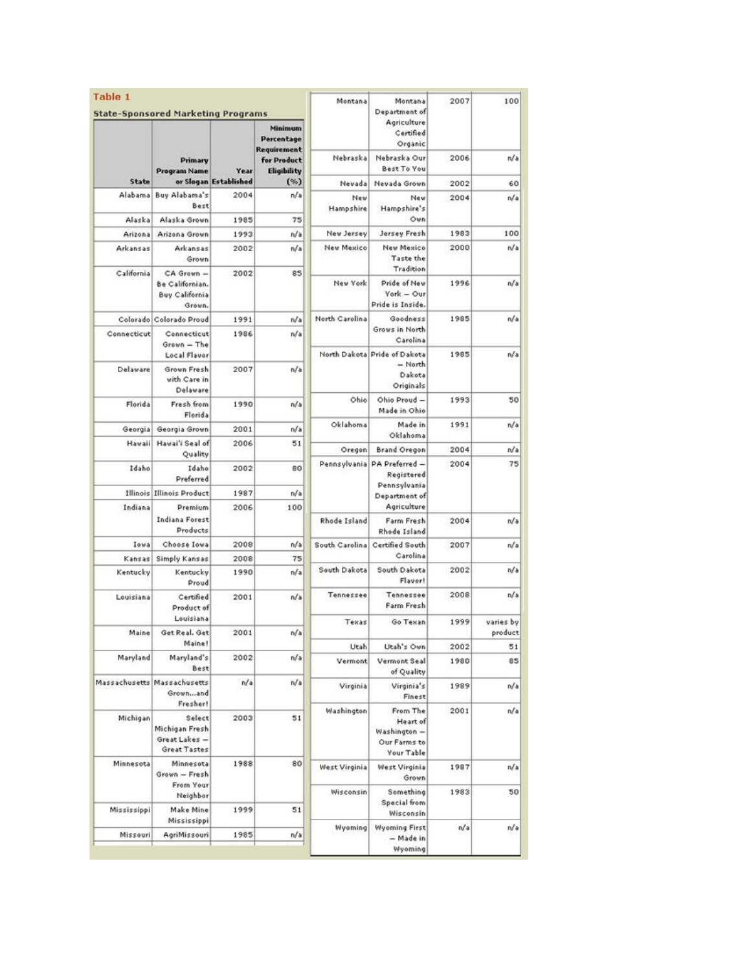| Table 1             | <b>State-Sponsored Marketing Programs</b>                        |                       |                                                                           | Montana                  | Montana<br>Department of                                           | 2007         | 100                  |
|---------------------|------------------------------------------------------------------|-----------------------|---------------------------------------------------------------------------|--------------------------|--------------------------------------------------------------------|--------------|----------------------|
|                     | Primary<br><b>Program Name</b>                                   | Year                  | Minimum<br>Percentage<br><b>Requirement</b><br>for Product<br>Eligibility |                          | Agriculture<br>Certified<br>Organic                                |              |                      |
|                     |                                                                  |                       |                                                                           | Nebraska                 | Nebraska Our<br><b>Best To You</b>                                 | 2006         | n/a                  |
| State               |                                                                  | or Slogan Established | (%)                                                                       | Nevada                   | Nevada Grown                                                       | 2002         | 60                   |
| Alabama             | Buy Alabama's<br>Best                                            | 2004                  | n/a                                                                       | New<br>Hampshire         | New<br>Hampshire's<br>Own                                          | 2004         | n/a                  |
| Alaska              | Alaska Grown                                                     | 1985                  | 75                                                                        |                          |                                                                    |              |                      |
| Arizona<br>Arkansas | Arizona Grown<br>Arkansas<br>Grown                               | 1993<br>2002          | n/a<br>n/a                                                                | New Jersey<br>New Mexico | Jersey Fresh<br>New Mexico<br>Taste the                            | 1983<br>2000 | 100<br>n/a           |
| California          | CA Grown -<br>Be Californian.<br><b>Buy California</b><br>Grown. | 2002                  | 85                                                                        | New York                 | Tradition<br>Pride of New<br>York - Our<br>Pride is Inside.        | 1996         | n/a                  |
|                     | Colorado Colorado Proud                                          | 1991                  | n/a                                                                       | North Carolina           | Goodness                                                           | 1985         | n/a                  |
| Connecticut         | Connecticut<br>Grown - The                                       | 1986                  | n/a                                                                       |                          | Grows in North<br>Carolina                                         |              |                      |
| Delaware            | <b>Local Flavor</b><br>Grown Fresh<br>with Care in<br>Delaware   | 2007                  | n/a                                                                       |                          | North Dakota Pride of Dakota<br>$=$ North<br>Dakota<br>Originals   | 1985         | n/a                  |
| Florida             | Fresh from<br>Florida                                            | 1990                  | n/a                                                                       | Ohio                     | Ohio Proud -<br>Made in Ohio                                       | 1993         | 50                   |
| Georgia             | Georgia Grown                                                    | 2001                  | n/a                                                                       | Oklahoma                 | Made in                                                            | 1991         | n/a                  |
| Havaii              | Havai'i Seal of                                                  | 2006                  | 51                                                                        | Oregon                   | Oklahoma<br><b>Brand Oregon</b>                                    | 2004         | n/a                  |
|                     | Quality                                                          |                       |                                                                           | Pennsylvania             | PA Preferred -                                                     | 2004         | 75                   |
| Idaho               | Idaho<br>Preferred                                               | 2002                  | 80                                                                        |                          | Registered<br>Pennsylvania                                         |              |                      |
| Illinois            | <b>Illinois Product</b>                                          | 1987                  | n/a                                                                       |                          | Department of<br>Agriculture                                       |              |                      |
| Indiana             | Premium<br>Indiana Forest<br>Products                            | 2006                  | 100                                                                       | Rhode Island             | Farm Fresh<br>Rhode Island                                         | 2004         | n/a                  |
| Iowa                | Choose Iowa                                                      | 2008                  | n/a                                                                       | South Carolina           | Certified South                                                    | 2007         | n/a                  |
| Kansas              | Simply Kansas                                                    | 2008                  | 75                                                                        |                          | Carolina                                                           |              |                      |
| Kentucky            | Kentucky<br>Proud                                                | 1990                  | n/a                                                                       | South Dakota             | South Dakota<br>Flavor!                                            | 2002         | n/a                  |
| Louisiana           | Certified<br>Product of                                          | 2001                  | n/a                                                                       | Tennessee                | Tennessee<br>Farm Fresh                                            | 2008         | n/a                  |
| Maine               | Louisiana<br>Get Real, Get                                       | 2001                  | n/a                                                                       | Texas                    | Go Texan                                                           | 1999         | varies by<br>product |
|                     | Maine!                                                           |                       |                                                                           | Utah                     | Utah's Own                                                         | 2002         | 51                   |
| Maryland            | Maryland's<br>Best                                               | 2002                  | n/a                                                                       | Vermont                  | Vermont Seal<br>of Quality                                         | 1980         | 85                   |
| Massachusetts       | Massachusetts<br>Grownand<br>Fresher!                            | n/a                   | n/a                                                                       | Virginia                 | Virginia's<br>Finest                                               | 1989         | n/a                  |
| Michigan            | Select<br>Michigan Fresh<br>Great Lakes -<br><b>Great Tastes</b> | 2003                  | 51                                                                        | Washington               | From The<br>Heart of<br>Washington -<br>Our Farms to<br>Your Table | 2001         | n/a                  |
| Minnesota           | Minnesota<br>Grown - Fresh                                       | 1988                  | 80                                                                        | West Virginia            | West Virginia<br>Grown                                             | 1987         | n/a                  |
|                     | From Your<br>Neighbor                                            |                       |                                                                           | Wisconsin                | Something<br>Special from                                          | 1983         | 50                   |
| Mississippi         | Make Mine<br>Mississippi                                         | 1999                  | 51                                                                        | Wyoming                  | Wisconsin<br><b>Wyoming First</b><br>- Made in<br>Wyoming          | n/a          | n/a                  |
| Missouri            | AgriMissouri                                                     | 1985                  | n/a                                                                       |                          |                                                                    |              |                      |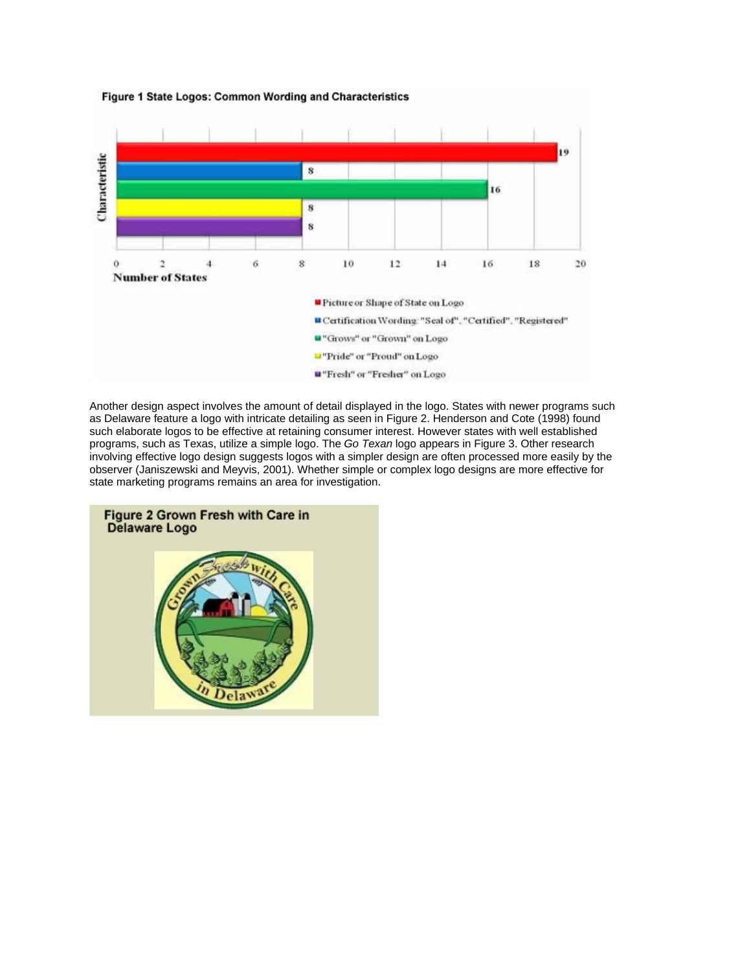

#### Figure 1 State Logos: Common Wording and Characteristics

Another design aspect involves the amount of detail displayed in the logo. States with newer programs such as Delaware feature a logo with intricate detailing as seen in Figure 2. Henderson and Cote (1998) found such elaborate logos to be effective at retaining consumer interest. However states with well established programs, such as Texas, utilize a simple logo. The *Go Texan* logo appears in Figure 3. Other research involving effective logo design suggests logos with a simpler design are often processed more easily by the observer (Janiszewski and Meyvis, 2001). Whether simple or complex logo designs are more effective for state marketing programs remains an area for investigation.

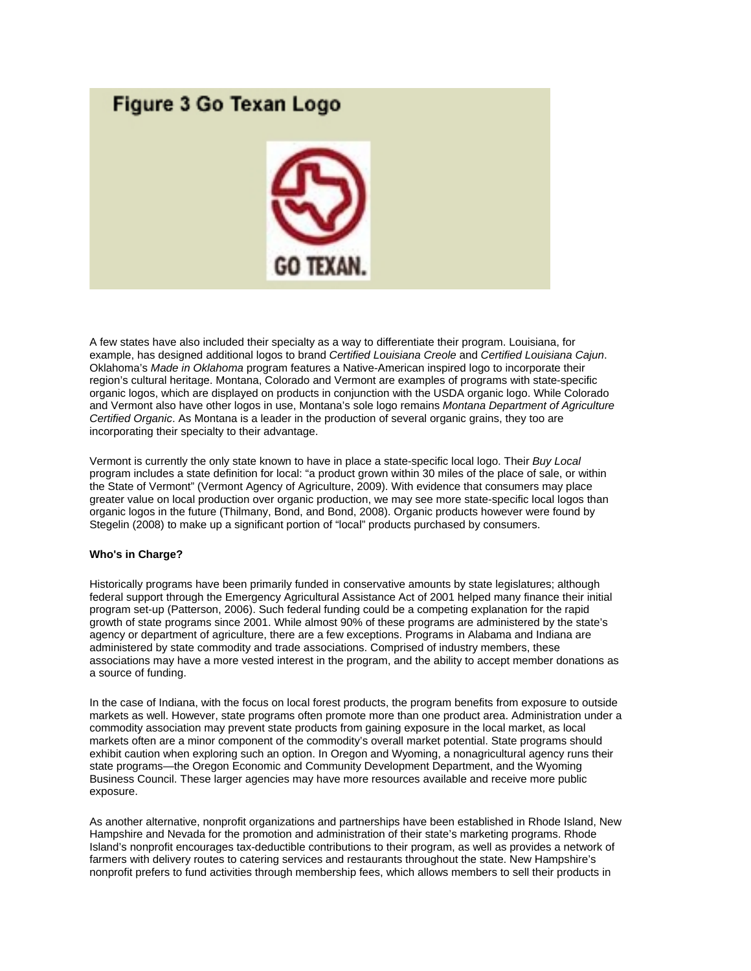# Figure 3 Go Texan Logo



A few states have also included their specialty as a way to differentiate their program. Louisiana, for example, has designed additional logos to brand *Certified Louisiana Creole* and *Certified Louisiana Cajun*. Oklahoma's *Made in Oklahoma* program features a Native-American inspired logo to incorporate their region's cultural heritage. Montana, Colorado and Vermont are examples of programs with state-specific organic logos, which are displayed on products in conjunction with the USDA organic logo. While Colorado and Vermont also have other logos in use, Montana's sole logo remains *Montana Department of Agriculture Certified Organic*. As Montana is a leader in the production of several organic grains, they too are incorporating their specialty to their advantage.

Vermont is currently the only state known to have in place a state-specific local logo. Their *Buy Local* program includes a state definition for local: "a product grown within 30 miles of the place of sale, or within the State of Vermont" (Vermont Agency of Agriculture, 2009). With evidence that consumers may place greater value on local production over organic production, we may see more state-specific local logos than organic logos in the future (Thilmany, Bond, and Bond, 2008). Organic products however were found by Stegelin (2008) to make up a significant portion of "local" products purchased by consumers.

# **Who's in Charge?**

Historically programs have been primarily funded in conservative amounts by state legislatures; although federal support through the Emergency Agricultural Assistance Act of 2001 helped many finance their initial program set-up (Patterson, 2006). Such federal funding could be a competing explanation for the rapid growth of state programs since 2001. While almost 90% of these programs are administered by the state's agency or department of agriculture, there are a few exceptions. Programs in Alabama and Indiana are administered by state commodity and trade associations. Comprised of industry members, these associations may have a more vested interest in the program, and the ability to accept member donations as a source of funding.

In the case of Indiana, with the focus on local forest products, the program benefits from exposure to outside markets as well. However, state programs often promote more than one product area. Administration under a commodity association may prevent state products from gaining exposure in the local market, as local markets often are a minor component of the commodity's overall market potential. State programs should exhibit caution when exploring such an option. In Oregon and Wyoming, a nonagricultural agency runs their state programs—the Oregon Economic and Community Development Department, and the Wyoming Business Council. These larger agencies may have more resources available and receive more public exposure.

As another alternative, nonprofit organizations and partnerships have been established in Rhode Island, New Hampshire and Nevada for the promotion and administration of their state's marketing programs. Rhode Island's nonprofit encourages tax-deductible contributions to their program, as well as provides a network of farmers with delivery routes to catering services and restaurants throughout the state. New Hampshire's nonprofit prefers to fund activities through membership fees, which allows members to sell their products in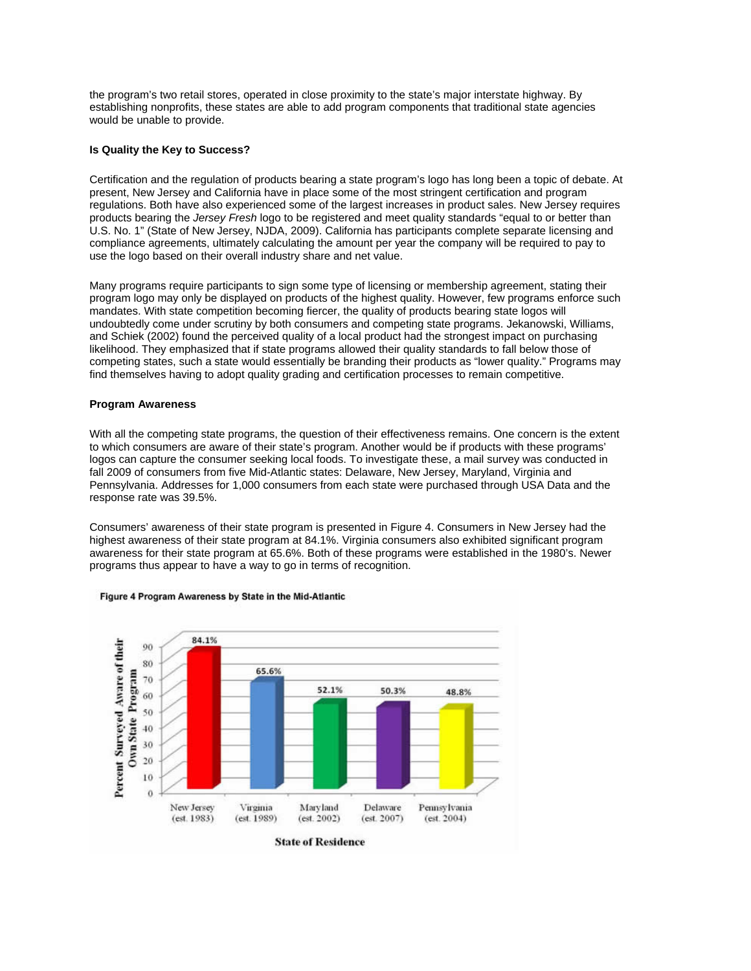the program's two retail stores, operated in close proximity to the state's major interstate highway. By establishing nonprofits, these states are able to add program components that traditional state agencies would be unable to provide.

#### **Is Quality the Key to Success?**

Certification and the regulation of products bearing a state program's logo has long been a topic of debate. At present, New Jersey and California have in place some of the most stringent certification and program regulations. Both have also experienced some of the largest increases in product sales. New Jersey requires products bearing the *Jersey Fresh* logo to be registered and meet quality standards "equal to or better than U.S. No. 1" (State of New Jersey, NJDA, 2009). California has participants complete separate licensing and compliance agreements, ultimately calculating the amount per year the company will be required to pay to use the logo based on their overall industry share and net value.

Many programs require participants to sign some type of licensing or membership agreement, stating their program logo may only be displayed on products of the highest quality. However, few programs enforce such mandates. With state competition becoming fiercer, the quality of products bearing state logos will undoubtedly come under scrutiny by both consumers and competing state programs. Jekanowski, Williams, and Schiek (2002) found the perceived quality of a local product had the strongest impact on purchasing likelihood. They emphasized that if state programs allowed their quality standards to fall below those of competing states, such a state would essentially be branding their products as "lower quality." Programs may find themselves having to adopt quality grading and certification processes to remain competitive.

#### **Program Awareness**

With all the competing state programs, the question of their effectiveness remains. One concern is the extent to which consumers are aware of their state's program. Another would be if products with these programs' logos can capture the consumer seeking local foods. To investigate these, a mail survey was conducted in fall 2009 of consumers from five Mid-Atlantic states: Delaware, New Jersey, Maryland, Virginia and Pennsylvania. Addresses for 1,000 consumers from each state were purchased through USA Data and the response rate was 39.5%.

Consumers' awareness of their state program is presented in Figure 4. Consumers in New Jersey had the highest awareness of their state program at 84.1%. Virginia consumers also exhibited significant program awareness for their state program at 65.6%. Both of these programs were established in the 1980's. Newer programs thus appear to have a way to go in terms of recognition.



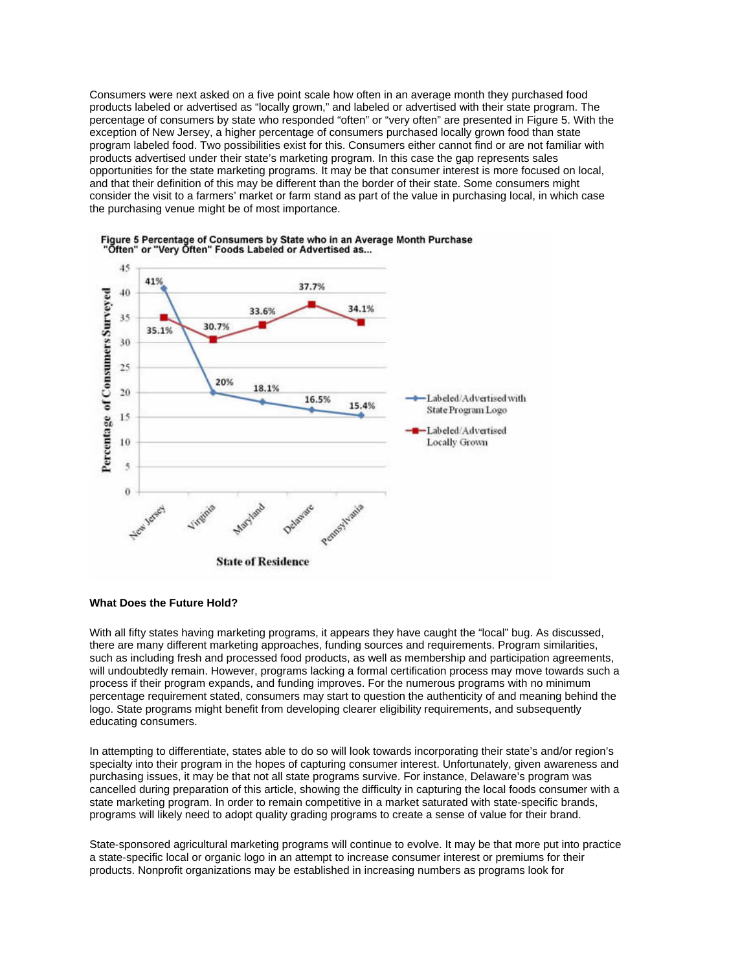Consumers were next asked on a five point scale how often in an average month they purchased food products labeled or advertised as "locally grown," and labeled or advertised with their state program. The percentage of consumers by state who responded "often" or "very often" are presented in Figure 5. With the exception of New Jersey, a higher percentage of consumers purchased locally grown food than state program labeled food. Two possibilities exist for this. Consumers either cannot find or are not familiar with products advertised under their state's marketing program. In this case the gap represents sales opportunities for the state marketing programs. It may be that consumer interest is more focused on local, and that their definition of this may be different than the border of their state. Some consumers might consider the visit to a farmers' market or farm stand as part of the value in purchasing local, in which case the purchasing venue might be of most importance.





# **What Does the Future Hold?**

With all fifty states having marketing programs, it appears they have caught the "local" bug. As discussed, there are many different marketing approaches, funding sources and requirements. Program similarities, such as including fresh and processed food products, as well as membership and participation agreements, will undoubtedly remain. However, programs lacking a formal certification process may move towards such a process if their program expands, and funding improves. For the numerous programs with no minimum percentage requirement stated, consumers may start to question the authenticity of and meaning behind the logo. State programs might benefit from developing clearer eligibility requirements, and subsequently educating consumers.

In attempting to differentiate, states able to do so will look towards incorporating their state's and/or region's specialty into their program in the hopes of capturing consumer interest. Unfortunately, given awareness and purchasing issues, it may be that not all state programs survive. For instance, Delaware's program was cancelled during preparation of this article, showing the difficulty in capturing the local foods consumer with a state marketing program. In order to remain competitive in a market saturated with state-specific brands, programs will likely need to adopt quality grading programs to create a sense of value for their brand.

State-sponsored agricultural marketing programs will continue to evolve. It may be that more put into practice a state-specific local or organic logo in an attempt to increase consumer interest or premiums for their products. Nonprofit organizations may be established in increasing numbers as programs look for